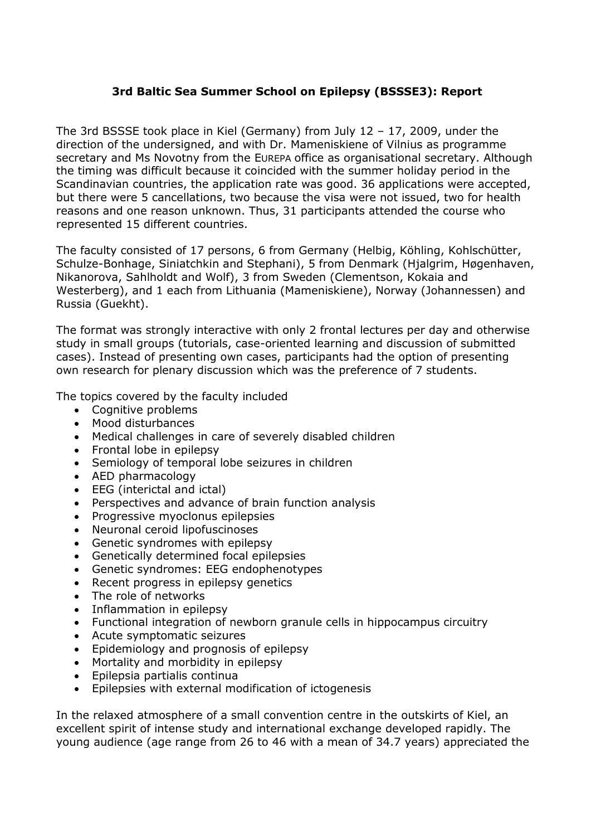## **3rd Baltic Sea Summer School on Epilepsy (BSSSE3): Report**

The 3rd BSSSE took place in Kiel (Germany) from July 12 – 17, 2009, under the direction of the undersigned, and with Dr. Mameniskiene of Vilnius as programme secretary and Ms Novotny from the EUREPA office as organisational secretary. Although the timing was difficult because it coincided with the summer holiday period in the Scandinavian countries, the application rate was good. 36 applications were accepted, but there were 5 cancellations, two because the visa were not issued, two for health reasons and one reason unknown. Thus, 31 participants attended the course who represented 15 different countries.

The faculty consisted of 17 persons, 6 from Germany (Helbig, Köhling, Kohlschütter, Schulze-Bonhage, Siniatchkin and Stephani), 5 from Denmark (Hjalgrim, Høgenhaven, Nikanorova, Sahlholdt and Wolf), 3 from Sweden (Clementson, Kokaia and Westerberg), and 1 each from Lithuania (Mameniskiene), Norway (Johannessen) and Russia (Guekht).

The format was strongly interactive with only 2 frontal lectures per day and otherwise study in small groups (tutorials, case-oriented learning and discussion of submitted cases). Instead of presenting own cases, participants had the option of presenting own research for plenary discussion which was the preference of 7 students.

The topics covered by the faculty included

- Cognitive problems
- Mood disturbances
- Medical challenges in care of severely disabled children
- Frontal lobe in epilepsy
- Semiology of temporal lobe seizures in children
- AED pharmacology
- EEG (interictal and ictal)
- Perspectives and advance of brain function analysis
- Progressive myoclonus epilepsies
- Neuronal ceroid lipofuscinoses
- Genetic syndromes with epilepsy
- Genetically determined focal epilepsies
- Genetic syndromes: EEG endophenotypes
- Recent progress in epilepsy genetics
- The role of networks
- Inflammation in epilepsy
- Functional integration of newborn granule cells in hippocampus circuitry
- Acute symptomatic seizures
- Epidemiology and prognosis of epilepsy
- Mortality and morbidity in epilepsy
- Epilepsia partialis continua
- Epilepsies with external modification of ictogenesis

In the relaxed atmosphere of a small convention centre in the outskirts of Kiel, an excellent spirit of intense study and international exchange developed rapidly. The young audience (age range from 26 to 46 with a mean of 34.7 years) appreciated the